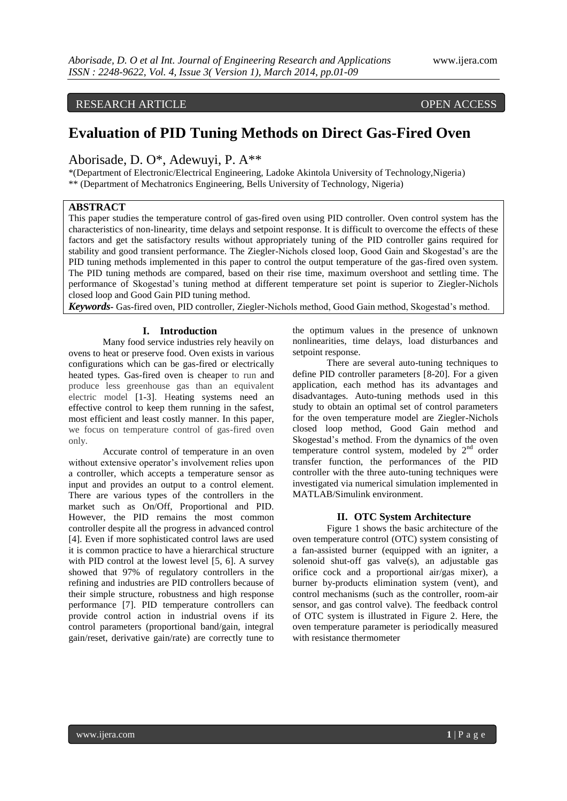# RESEARCH ARTICLE OPEN ACCESS

# **Evaluation of PID Tuning Methods on Direct Gas-Fired Oven**

Aborisade, D. O\*, Adewuyi, P. A\*\*

\*(Department of Electronic/Electrical Engineering, Ladoke Akintola University of Technology,Nigeria) \*\* (Department of Mechatronics Engineering, Bells University of Technology, Nigeria)

# **ABSTRACT**

This paper studies the temperature control of gas-fired oven using PID controller. Oven control system has the characteristics of non-linearity, time delays and setpoint response. It is difficult to overcome the effects of these factors and get the satisfactory results without appropriately tuning of the PID controller gains required for stability and good transient performance. The Ziegler-Nichols closed loop, Good Gain and Skogestad's are the PID tuning methods implemented in this paper to control the output temperature of the gas-fired oven system. The PID tuning methods are compared, based on their rise time, maximum overshoot and settling time. The performance of Skogestad's tuning method at different temperature set point is superior to Ziegler-Nichols closed loop and Good Gain PID tuning method.

*Keywords***-** Gas-fired oven, PID controller, Ziegler-Nichols method, Good Gain method, Skogestad's method.

# **I. Introduction**

Many food service industries rely heavily on ovens to heat or preserve food. Oven exists in various configurations which can be gas-fired or electrically heated types. Gas-fired oven is cheaper to run and produce less greenhouse gas than an equivalent electric model [1-3]. Heating systems need an effective control to keep them running in the safest, most efficient and least costly manner. In this paper, we focus on temperature control of gas-fired oven only.

Accurate control of temperature in an oven without extensive operator's involvement relies upon a controller, which accepts a temperature sensor as input and provides an output to a control element. There are various types of the controllers in the market such as On/Off, Proportional and PID. However, the PID remains the most common controller despite all the progress in advanced control [4]. Even if more sophisticated control laws are used it is common practice to have a hierarchical structure with PID control at the lowest level [5, 6]. A survey showed that 97% of regulatory controllers in the refining and industries are PID controllers because of their simple structure, robustness and high response performance [7]. PID temperature controllers can provide control action in industrial ovens if its control parameters (proportional band/gain, integral gain/reset, derivative gain/rate) are correctly tune to

the optimum values in the presence of unknown nonlinearities, time delays, load disturbances and setpoint response.

There are several auto-tuning techniques to define PID controller parameters [8-20]. For a given application, each method has its advantages and disadvantages. Auto-tuning methods used in this study to obtain an optimal set of control parameters for the oven temperature model are Ziegler-Nichols closed loop method, Good Gain method and Skogestad's method. From the dynamics of the oven temperature control system, modeled by 2<sup>nd</sup> order transfer function, the performances of the PID controller with the three auto-tuning techniques were investigated via numerical simulation implemented in MATLAB/Simulink environment.

## **II. OTC System Architecture**

Figure 1 shows the basic architecture of the oven temperature control (OTC) system consisting of a fan-assisted burner (equipped with an igniter, a solenoid shut-off gas valve(s), an adjustable gas orifice cock and a proportional air/gas mixer), a burner by-products elimination system (vent), and control mechanisms (such as the controller, room-air sensor, and gas control valve). The feedback control of OTC system is illustrated in Figure 2. Here, the oven temperature parameter is periodically measured with resistance thermometer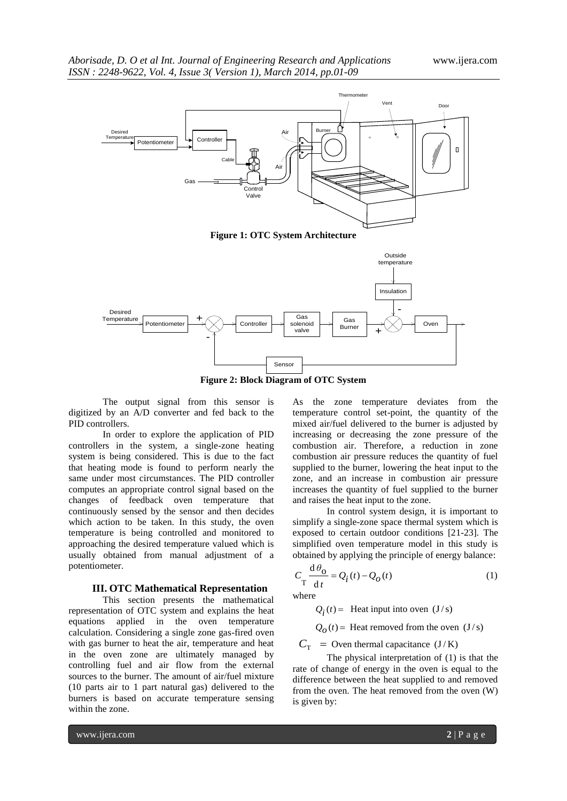



**Figure 2: Block Diagram of OTC System**

The output signal from this sensor is digitized by an A/D converter and fed back to the PID controllers.

In order to explore the application of PID controllers in the system, a single-zone heating system is being considered. This is due to the fact that heating mode is found to perform nearly the same under most circumstances. The PID controller computes an appropriate control signal based on the changes of feedback oven temperature that continuously sensed by the sensor and then decides which action to be taken. In this study, the oven temperature is being controlled and monitored to approaching the desired temperature valued which is usually obtained from manual adjustment of a potentiometer.

#### **III. OTC Mathematical Representation**

This section presents the mathematical representation of OTC system and explains the heat equations applied in the oven temperature calculation. Considering a single zone gas-fired oven with gas burner to heat the air, temperature and heat in the oven zone are ultimately managed by controlling fuel and air flow from the external sources to the burner. The amount of air/fuel mixture (10 parts air to 1 part natural gas) delivered to the burners is based on accurate temperature sensing within the zone.

As the zone temperature deviates from the temperature control set-point, the quantity of the mixed air/fuel delivered to the burner is adjusted by increasing or decreasing the zone pressure of the combustion air. Therefore, a reduction in zone combustion air pressure reduces the quantity of fuel supplied to the burner, lowering the heat input to the zone, and an increase in combustion air pressure increases the quantity of fuel supplied to the burner and raises the heat input to the zone.

In control system design, it is important to simplify a single-zone space thermal system which is exposed to certain outdoor conditions [21-23]. The simplified oven temperature model in this study is obtained by applying the principle of energy balance:

$$
C_{\rm T} \frac{\mathrm{d}\,\theta_{\rm O}}{\mathrm{d}\,t} = Q_i(t) - Q_O(t) \tag{1}
$$

where

 $Q_i(t)$  = Heat input into oven (J/s)

 $Q_0(t)$  = Heat removed from the oven  $(J/s)$ 

 $C_{\text{T}}$  = Oven thermal capacitance (J/K)

The physical interpretation of (1) is that the rate of change of energy in the oven is equal to the difference between the heat supplied to and removed from the oven. The heat removed from the oven (W) is given by: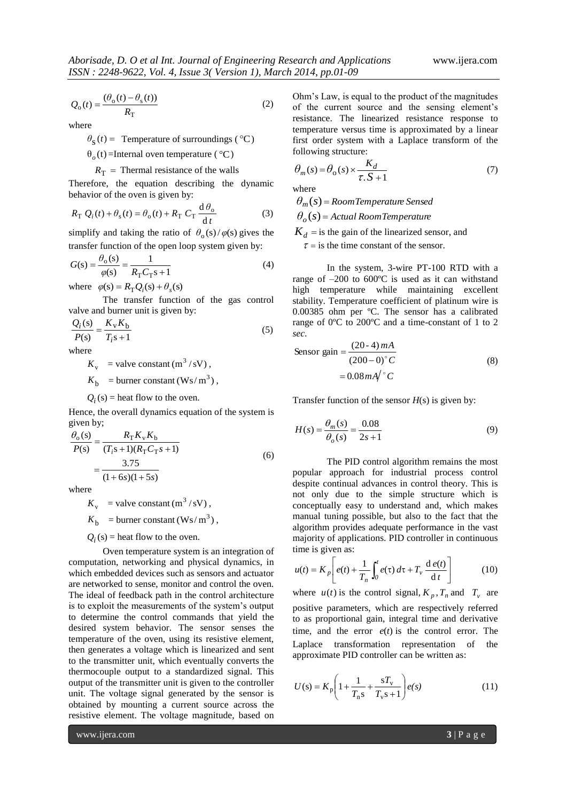$$
Q_o(t) = \frac{(\theta_o(t) - \theta_s(t))}{R_{\rm T}}\tag{2}
$$

where

$$
\theta_{\rm S}(t)
$$
 = Temperature of surroundings (°C)

 $\theta_o(t)$  =Internal oven temperature ( $\degree$ C)

 $R_{\rm T}$  = Thermal resistance of the walls

Therefore, the equation describing the dynamic behavior of the oven is given by:

$$
R_{\rm T} Q_i(t) + \theta_{\rm s}(t) = \theta_{\rm o}(t) + R_{\rm T} C_{\rm T} \frac{\mathrm{d}\theta_{\rm o}}{\mathrm{d}t}
$$
 (3)

simplify and taking the ratio of  $\theta_0(s)/\varphi(s)$  gives the transfer function of the open loop system given by:

$$
G(s) = \frac{\theta_o(s)}{\varphi(s)} = \frac{1}{R_{\rm T} C_{\rm T} s + 1}
$$
(4)

where  $\varphi(s) = R_{\text{T}}Q_i(s) + \theta_s(s)$ 

The transfer function of the gas control valve and burner unit is given by:

$$
\frac{Q_i(s)}{P(s)} = \frac{K_v K_b}{T_i s + 1} \tag{5}
$$

where

 $K_{\rm v}$  = valve constant (m<sup>3</sup>/sV),

 $K_{\rm b}$  = burner constant (Ws/m<sup>3</sup>),

 $Q_i$ (s) = heat flow to the oven.

Hence, the overall dynamics equation of the system is given by;

$$
\frac{\theta_o(s)}{P(s)} = \frac{R_T K_v K_b}{(T_i s + 1)(R_T C_T s + 1)}
$$
  
= 
$$
\frac{3.75}{(1 + 6s)(1 + 5s)}
$$
 (6)

where

 $K_{\rm v}$  = valve constant (m<sup>3</sup>/sV),  $K_{\rm b}$  = burner constant (Ws/m<sup>3</sup>),

 $Q_i$ (s) = heat flow to the oven.

Oven temperature system is an integration of computation, networking and physical dynamics, in which embedded devices such as sensors and actuator are networked to sense, monitor and control the oven. The ideal of feedback path in the control architecture is to exploit the measurements of the system's output to determine the control commands that yield the desired system behavior. The sensor senses the temperature of the oven, using its resistive element, then generates a voltage which is linearized and sent to the transmitter unit, which eventually converts the thermocouple output to a standardized signal. This output of the transmitter unit is given to the controller unit. The voltage signal generated by the sensor is obtained by mounting a current source across the resistive element. The voltage magnitude, based on

Ohm's Law, is equal to the product of the magnitudes of the current source and the sensing element's resistance. The linearized resistance response to temperature versus time is approximated by a linear first order system with a Laplace transform of the following structure:

$$
\theta_m(s) = \theta_o(s) \times \frac{K_d}{\tau . S + 1} \tag{7}
$$

where

*θm*(*s*) *RoomTemperature Sensed*

 $\theta_o(s)$  = Actual RoomTemperature

 $K_d$  = is the gain of the linearized sensor, and  $\tau$  = is the time constant of the sensor.

In the system, 3-wire PT-100 RTD with a range of –200 to 600ºC is used as it can withstand high temperature while maintaining excellent stability. Temperature coefficient of platinum wire is 0.00385 ohm per ºC. The sensor has a calibrated range of 0ºC to 200ºC and a time-constant of 1 to 2 *sec*.

Sensor gain 
$$
=\frac{(20-4) mA}{(200-0)° C}
$$
  
=  $0.08 mA/° C$  (8)

Transfer function of the sensor  $H(s)$  is given by:

$$
H(s) = \frac{\theta_m(s)}{\theta_o(s)} = \frac{0.08}{2s + 1}
$$
 (9)

The PID control algorithm remains the most popular approach for industrial process control despite continual advances in control theory. This is not only due to the simple structure which is conceptually easy to understand and, which makes manual tuning possible, but also to the fact that the algorithm provides adequate performance in the vast majority of applications. PID controller in continuous time is given as:

$$
u(t) = K_p \left[ e(t) + \frac{1}{T_n} \int_0^t e(\tau) d\tau + T_v \frac{d e(t)}{dt} \right]
$$
 (10)

where  $u(t)$  is the control signal,  $K_p$ ,  $T_n$  and  $T_v$  are positive parameters, which are respectively referred to as proportional gain, integral time and derivative time, and the error  $e(t)$  is the control error. The Laplace transformation representation of the approximate PID controller can be written as:

$$
U(s) = K_p \left( 1 + \frac{1}{T_n s} + \frac{sT_v}{T_v s + 1} \right) e(s)
$$
 (11)

www.ijera.com **3** | P a g e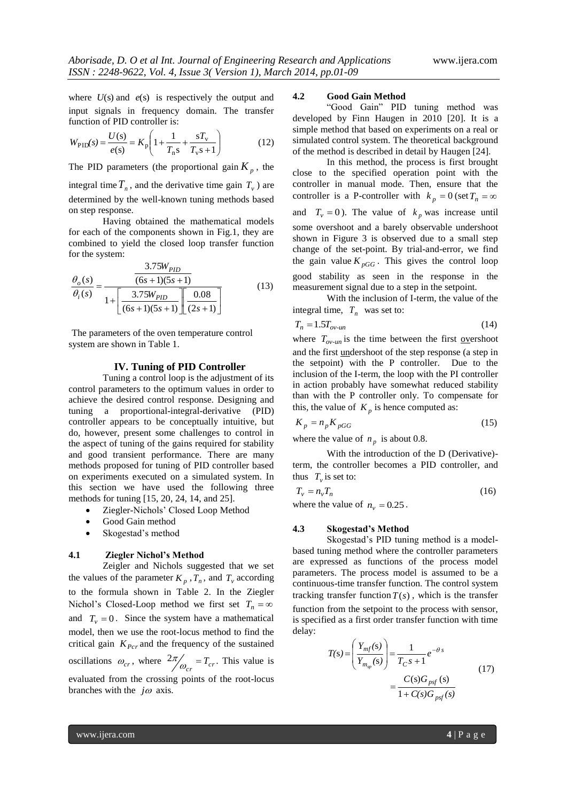where  $U(s)$  and  $e(s)$  is respectively the output and input signals in frequency domain. The transfer function of PID controller is:

$$
W_{\rm PID}(s) = \frac{U(s)}{e(s)} = K_{\rm p} \left( 1 + \frac{1}{T_{\rm n}s} + \frac{sT_{\rm v}}{T_{\rm v}s + 1} \right) \tag{12}
$$

The PID parameters (the proportional gain  $K_p$ , the

integral time  $T_n$ , and the derivative time gain  $T_v$ ) are determined by the well-known tuning methods based on step response.

Having obtained the mathematical models for each of the components shown in Fig.1, they are combined to yield the closed loop transfer function for the system:

$$
\frac{\theta_o(s)}{\theta_i(s)} = \frac{\frac{3.75W_{PID}}{(6s+1)(5s+1)}}{1 + \left[\frac{3.75W_{PID}}{(6s+1)(5s+1)}\right] \left[\frac{0.08}{(2s+1)}\right]}
$$
(13)

The parameters of the oven temperature control system are shown in Table 1.

#### **IV. Tuning of PID Controller**

Tuning a control loop is the adjustment of its control parameters to the optimum values in order to achieve the desired control response. Designing and tuning a proportional-integral-derivative (PID) controller appears to be conceptually intuitive, but do, however, present some challenges to control in the aspect of tuning of the gains required for stability and good transient performance. There are many methods proposed for tuning of PID controller based on experiments executed on a simulated system. In this section we have used the following three methods for tuning [15, 20, 24, 14, and 25].

- Ziegler-Nichols' Closed Loop Method
- Good Gain method
- Skogestad's method

#### **4.1 Ziegler Nichol's Method**

Zeigler and Nichols suggested that we set the values of the parameter  $K_p$ ,  $T_n$ , and  $T_v$  according to the formula shown in Table 2. In the Ziegler Nichol's Closed-Loop method we first set  $T_n = \infty$ and  $T_v = 0$ . Since the system have a mathematical model, then we use the root-locus method to find the critical gain  $K_{Pcr}$  and the frequency of the sustained oscillations  $\omega_{cr}$ , where  $\frac{2\pi}{\omega_{cr}} = T_{cr}$ . This value is evaluated from the crossing points of the root-locus branches with the  $j\omega$  axis.

## **4.2 Good Gain Method**

"Good Gain" PID tuning method was developed by Finn Haugen in 2010 [20]. It is a simple method that based on experiments on a real or simulated control system. The theoretical background of the method is described in detail by Haugen [24].

In this method, the process is first brought close to the specified operation point with the controller in manual mode. Then, ensure that the controller is a P-controller with  $k_p = 0$  (set  $T_n = \infty$ and  $T_v = 0$ ). The value of  $k_p$  was increase until some overshoot and a barely observable undershoot shown in Figure 3 is observed due to a small step change of the set-point. By trial-and-error, we find the gain value  $K_{pGG}$ . This gives the control loop good stability as seen in the response in the measurement signal due to a step in the setpoint.

With the inclusion of I-term, the value of the integral time,  $T_n$  was set to:

$$
T_n = 1.5T_{ov-un}
$$
\n<sup>(14)</sup>

where  $T_{ov-un}$  is the time between the first <u>ove</u>rshoot and the first undershoot of the step response (a step in the setpoint) with the P controller. Due to the inclusion of the I-term, the loop with the PI controller in action probably have somewhat reduced stability than with the P controller only. To compensate for this, the value of  $K_p$  is hence computed as:

$$
K_p = n_p K_{pGG} \tag{15}
$$

where the value of  $n_p$  is about 0.8.

With the introduction of the D (Derivative) term, the controller becomes a PID controller, and thus  $T_v$  is set to:

$$
T_v = n_v T_n \tag{16}
$$

where the value of  $n_v = 0.25$ .

#### **4.3 Skogestad's Method**

Skogestad's PID tuning method is a modelbased tuning method where the controller parameters are expressed as functions of the process model parameters. The process model is assumed to be a continuous-time transfer function. The control system tracking transfer function  $T(s)$ , which is the transfer function from the setpoint to the process with sensor, is specified as a first order transfer function with time delay:

$$
T(s) = \left(\frac{Y_{mf}(s)}{Y_{m_{sp}}(s)}\right) = \frac{1}{T_C s + 1} e^{-\theta s}
$$
  
= 
$$
\frac{C(s)G_{psf}(s)}{1 + C(s)G_{psf}(s)}
$$
(17)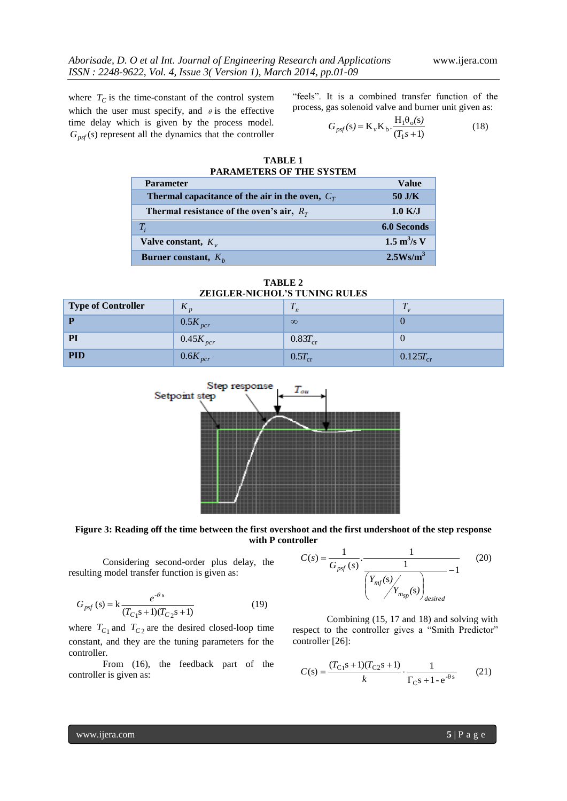where  $T_C$  is the time-constant of the control system which the user must specify, and  $\theta$  is the effective time delay which is given by the process model.  $G_{psf}(s)$  represent all the dynamics that the controller

"feels". It is a combined transfer function of the process, gas solenoid valve and burner unit given as:

$$
G_{\text{psf}}(s) = \mathbf{K}_{\nu} \mathbf{K}_{\nu} \cdot \frac{\mathbf{H}_1 \theta_o(s)}{(T_1 s + 1)}
$$
(18)

| TABLE <sub>1</sub>              |  |  |  |
|---------------------------------|--|--|--|
| <b>PARAMETERS OF THE SYSTEM</b> |  |  |  |
|                                 |  |  |  |

| <b>Parameter</b>                                  | Value                                |
|---------------------------------------------------|--------------------------------------|
| Thermal capacitance of the air in the oven, $C_T$ | $50$ J/K                             |
| Thermal resistance of the oven's air, $R_T$       | $1.0 \text{ K/J}$                    |
| $T_i$                                             | 6.0 Seconds                          |
| Valve constant, $K_v$                             | $1.5 \text{ m}^3/\text{s} \text{ V}$ |
| <b>Burner constant,</b> $K_h$                     | 2.5Ws/m <sup>3</sup>                 |

| <b>ZEIGLER-NICHOL'S TUNING RULES</b> |                     |              |               |  |  |  |
|--------------------------------------|---------------------|--------------|---------------|--|--|--|
| <b>Type of Controller</b>            | $\Lambda_n$         |              |               |  |  |  |
|                                      | $0.5K_{\text{pcr}}$ | $\infty$     |               |  |  |  |
| <b>PI</b>                            | $0.45K_{pc}$        | $0.83T_{cr}$ |               |  |  |  |
| <b>PID</b>                           | $0.6K_{pcr}$        | $0.5T_{cr}$  | $0.125T_{cr}$ |  |  |  |

**TABLE 2**



**Figure 3: Reading off the time between the first overshoot and the first undershoot of the step response with P controller**

Considering second-order plus delay, the resulting model transfer function is given as:

$$
G_{\text{psf}}(s) = k \frac{e^{-\theta s}}{(T_{C1}s + 1)(T_{C2}s + 1)}
$$
(19)

where  $T_{C_1}$  and  $T_{C_2}$  are the desired closed-loop time constant, and they are the tuning parameters for the controller.

From (16), the feedback part of the controller is given as:



Combining (15, 17 and 18) and solving with respect to the controller gives a "Smith Predictor" controller [26]:

$$
C(s) = \frac{(T_{C_1}s + 1)(T_{C_2}s + 1)}{k} \cdot \frac{1}{\Gamma_C s + 1 - e^{-\theta s}}
$$
(21)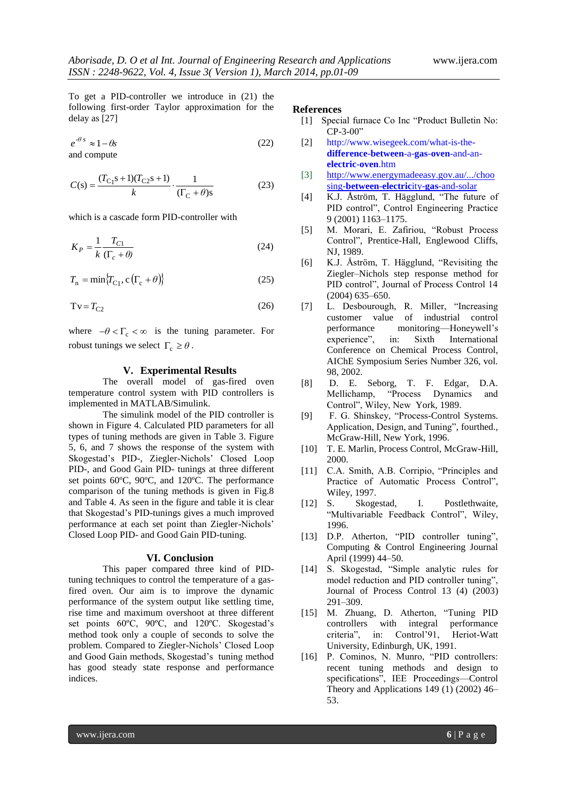To get a PID-controller we introduce in (21) the following first-order Taylor approximation for the delay as [27]

$$
e^{-\theta s} \approx 1 - \theta s \tag{22}
$$
 and compute

$$
C(s) = \frac{(T_{C_1}s + 1)(T_{C_2}s + 1)}{k} \cdot \frac{1}{(\Gamma_C + \theta)s}
$$
(23)

which is a cascade form PID-controller with

$$
K_P = \frac{1}{k} \frac{T_{C1}}{(\Gamma_c + \theta)}\tag{24}
$$

$$
T_{\rm n} = \min \{ T_{\rm C1}, c \left( \Gamma_{\rm c} + \theta \right) \} \tag{25}
$$

$$
Tv = T_{C2} \tag{26}
$$

where  $-\theta < \Gamma_c < \infty$  is the tuning parameter. For robust tunings we select  $\Gamma_c \ge \theta$ .

# **V. Experimental Results**

The overall model of gas-fired oven temperature control system with PID controllers is implemented in MATLAB/Simulink.

The simulink model of the PID controller is shown in Figure 4. Calculated PID parameters for all types of tuning methods are given in Table 3. Figure 5, 6, and 7 shows the response of the system with Skogestad's PID-, Ziegler-Nichols' Closed Loop PID-, and Good Gain PID- tunings at three different set points 60ºC, 90ºC, and 120ºC. The performance comparison of the tuning methods is given in Fig.8 and Table 4. As seen in the figure and table it is clear that Skogestad's PID-tunings gives a much improved performance at each set point than Ziegler-Nichols' Closed Loop PID- and Good Gain PID-tuning.

#### **VI. Conclusion**

This paper compared three kind of PIDtuning techniques to control the temperature of a gasfired oven. Our aim is to improve the dynamic performance of the system output like settling time, rise time and maximum overshoot at three different set points 60ºC, 90ºC, and 120ºC. Skogestad's method took only a couple of seconds to solve the problem. Compared to Ziegler-Nichols' Closed Loop and Good Gain methods, Skogestad's tuning method has good steady state response and performance indices.

## **References**

- [1] Special furnace Co Inc "Product Bulletin No: CP-3-00"
- [2] [http://www.wisegeek.com/what-is-the](http://www.wisegeek.com/what-is-the-difference-between-a-gas-oven-and-an-electric-oven.htm)**[difference](http://www.wisegeek.com/what-is-the-difference-between-a-gas-oven-and-an-electric-oven.htm)**-**between**-a-**gas**-**oven**-and-an**[electric](http://www.wisegeek.com/what-is-the-difference-between-a-gas-oven-and-an-electric-oven.htm)**-**oven**.htm
- [3] [http://www.energymadeeasy.gov.au/.../choo](http://www.energymadeeasy.gov.au/.../choo%20sing-between-electricity-gas-and-solar)  sing-**between**-**electric**ity-**gas**[-and-solar](http://www.energymadeeasy.gov.au/.../choo%20sing-between-electricity-gas-and-solar)
- [4] K.J. Åström, T. Hägglund, "The future of PID control", Control Engineering Practice 9 (2001) 1163–1175.
- [5] M. Morari, E. Zafiriou, "Robust Process Control", Prentice-Hall, Englewood Cliffs, NJ, 1989.
- [6] K.J. Åström, T. Hägglund, "Revisiting the Ziegler–Nichols step response method for PID control", Journal of Process Control 14 (2004) 635–650.
- [7] L. Desbourough, R. Miller, "Increasing customer value of industrial control performance monitoring––Honeywell's experience", in: Sixth International Conference on Chemical Process Control, AIChE Symposium Series Number 326, vol. 98, 2002.
- [8] D. E. Seborg, T. F. Edgar, D.A. Mellichamp, "Process Dynamics and Control", Wiley, New York, 1989.
- [9] F. G. Shinskey, "Process-Control Systems. Application, Design, and Tuning", fourthed., McGraw-Hill, New York, 1996.
- [10] T. E. Marlin, Process Control, McGraw-Hill, 2000.
- [11] C.A. Smith, A.B. Corripio, "Principles and Practice of Automatic Process Control", Wiley, 1997.
- [12] S. Skogestad, I. Postlethwaite, "Multivariable Feedback Control", Wiley, 1996.
- [13] D.P. Atherton, "PID controller tuning", Computing & Control Engineering Journal April (1999) 44–50.
- [14] S. Skogestad, "Simple analytic rules for model reduction and PID controller tuning", Journal of Process Control 13 (4) (2003) 291–309.
- [15] M. Zhuang, D. Atherton, "Tuning PID controllers with integral performance criteria", in: Control'91, Heriot-Watt University, Edinburgh, UK, 1991.
- [16] P. Cominos, N. Munro, "PID controllers: recent tuning methods and design to specifications", IEE Proceedings––Control Theory and Applications 149 (1) (2002) 46– 53.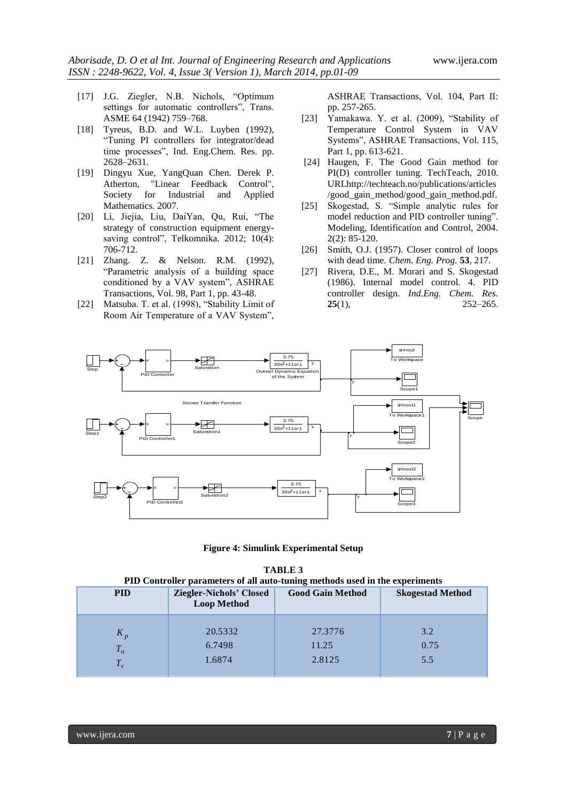- [17] J.G. Ziegler, N.B. Nichols, "Optimum settings for automatic controllers", Trans. ASME 64 (1942) 759–768.
- [18] Tyreus, B.D. and W.L. Luyben (1992), "Tuning PI controllers for integrator/dead time processes", Ind. Eng.Chem. Res. pp. 2628–2631.
- [19] Dingyu Xue, YangQuan Chen. Derek P. Atherton, "Linear Feedback Control", Society for Industrial and Applied Mathematics. 2007.
- [20] Li, Jiejia, Liu, DaiYan, Qu, Rui, "The strategy of construction equipment energysaving control", Telkomnika. 2012; 10(4): 706-712.
- [21] Zhang. Z. & Nelson. R.M. (1992), "Parametric analysis of a building space conditioned by a VAV system", ASHRAE Transactions, Vol. 98, Part 1, pp. 43-48.
- [22] Matsuba. T. et al. (1998), "Stability Limit of Room Air Temperature of a VAV System",

ASHRAE Transactions, Vol. 104, Part II: pp. 257-265.

- [23] Yamakawa. Y. et al. (2009), "Stability of Temperature Control System in VAV Systems", ASHRAE Transactions, Vol. 115, Part 1, pp. 613-621.
- [24] Haugen, F. The Good Gain method for PI(D) controller tuning. TechTeach, 2010. URLhttp://techteach.no/publications/articles /good\_gain\_method/good\_gain\_method.pdf.
- [25] Skogestad, S. "Simple analytic rules for model reduction and PID controller tuning". Modeling, Identification and Control, 2004. 2(2): 85-120.
- [26] Smith, O.J. (1957). Closer control of loops with dead time. *Chem. Eng. Prog.* **53**, 217.
- [27] Rivera, D.E., M. Morari and S. Skogestad (1986). Internal model control. 4. PID controller design. *Ind.Eng. Chem. Res.*  **25**(1), 252–265.



**Figure 4: Simulink Experimental Setup**

| <b>TABLE 3</b>                                                               |
|------------------------------------------------------------------------------|
| PID Controller parameters of all auto-tuning methods used in the experiments |

| <b>PID</b> | <b>Ziegler-Nichols' Closed</b><br><b>Loop Method</b> | <b>Good Gain Method</b> | <b>Skogestad Method</b> |  |  |
|------------|------------------------------------------------------|-------------------------|-------------------------|--|--|
| $K_p$      | 20.5332                                              | 27.3776                 | 3.2                     |  |  |
| $T_n$      | 6.7498                                               | 11.25                   | 0.75                    |  |  |
| $T_{\nu}$  | 1.6874                                               | 2.8125                  | 5.5                     |  |  |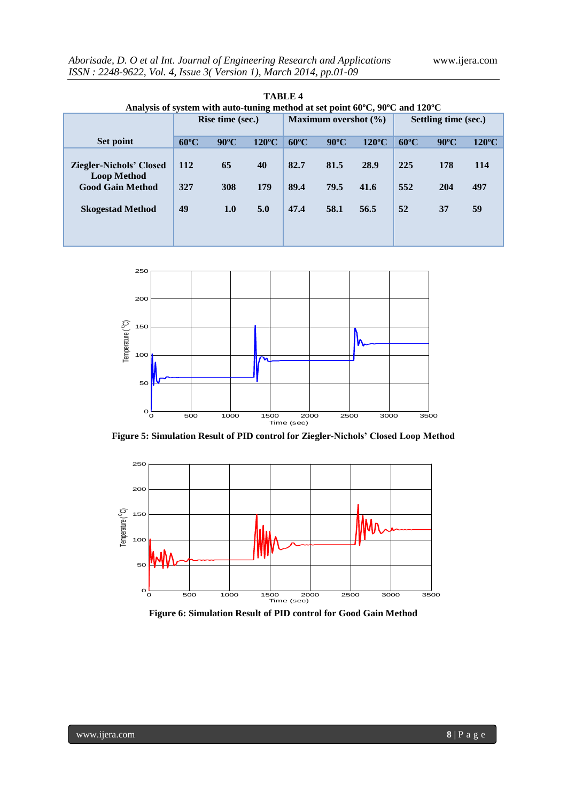| Aborisade, D. O et al Int. Journal of Engineering Research and Applications |  |
|-----------------------------------------------------------------------------|--|
| ISSN: 2248-9622, Vol. 4, Issue 3(Version 1), March 2014, pp.01-09           |  |

| Analysis of system with auto-tuning method at set point $60^{\circ}$ C, $90^{\circ}$ C and $120^{\circ}$ C |                         |                |                 |                          |                |                 |                      |                |                 |
|------------------------------------------------------------------------------------------------------------|-------------------------|----------------|-----------------|--------------------------|----------------|-----------------|----------------------|----------------|-----------------|
|                                                                                                            | <b>Rise time (sec.)</b> |                |                 | Maximum overshot $(\% )$ |                |                 | Settling time (sec.) |                |                 |
| Set point                                                                                                  | $60^{\circ}$ C          | $90^{\circ}$ C | $120^{\circ}$ C | $60^{\circ}$ C           | $90^{\circ}$ C | $120^{\circ}$ C | $60^{\circ}$ C       | $90^{\circ}$ C | $120^{\circ}$ C |
| <b>Ziegler-Nichols' Closed</b><br><b>Loop Method</b>                                                       | <b>112</b>              | 65             | 40              | 82.7                     | 81.5           | 28.9            | 225                  | 178            | 114             |
| <b>Good Gain Method</b>                                                                                    | 327                     | 308            | 179             | 89.4                     | 79.5           | 41.6            | 552                  | 204            | 497             |
| <b>Skogestad Method</b>                                                                                    | 49                      | 1.0            | 5.0             | 47.4                     | 58.1           | 56.5            | 52                   | 37             | 59              |





**Figure 5: Simulation Result of PID control for Ziegler-Nichols' Closed Loop Method**